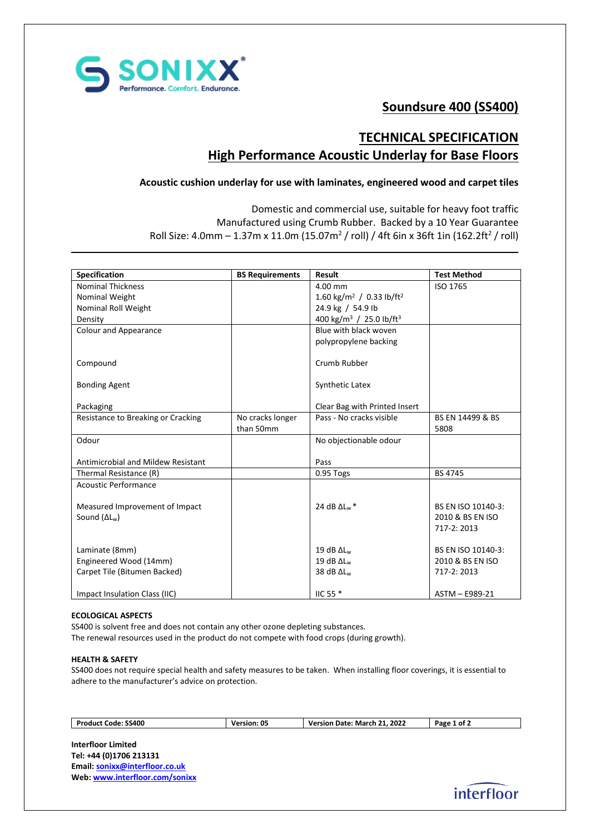

# **Soundsure 400 (SS400)**

## **TECHNICAL SPECIFICATION High Performance Acoustic Underlay for Base Floors**

### **Acoustic cushion underlay for use with laminates, engineered wood and carpet tiles**

Domestic and commercial use, suitable for heavy foot traffic Manufactured using Crumb Rubber. Backed by a 10 Year Guarantee Roll Size: 4.0mm  $-$  1.37m x 11.0m (15.07m<sup>2</sup> / roll) / 4ft 6in x 36ft 1in (162.2ft<sup>2</sup> / roll)

| <b>Specification</b>               | <b>BS Requirements</b> | <b>Result</b>                                    | <b>Test Method</b> |
|------------------------------------|------------------------|--------------------------------------------------|--------------------|
| <b>Nominal Thickness</b>           |                        | 4.00 mm                                          | ISO 1765           |
| Nominal Weight                     |                        | 1.60 kg/m <sup>2</sup> / 0.33 lb/ft <sup>2</sup> |                    |
| Nominal Roll Weight                |                        | 24.9 kg / 54.9 lb                                |                    |
| Density                            |                        | 400 kg/m <sup>3</sup> / 25.0 lb/ft <sup>3</sup>  |                    |
| <b>Colour and Appearance</b>       |                        | Blue with black woven                            |                    |
|                                    |                        | polypropylene backing                            |                    |
| Compound                           |                        | Crumb Rubber                                     |                    |
| <b>Bonding Agent</b>               |                        | Synthetic Latex                                  |                    |
| Packaging                          |                        | Clear Bag with Printed Insert                    |                    |
| Resistance to Breaking or Cracking | No cracks longer       | Pass - No cracks visible                         | BS EN 14499 & BS   |
|                                    | than 50mm              |                                                  | 5808               |
| Odour                              |                        | No objectionable odour                           |                    |
|                                    |                        |                                                  |                    |
| Antimicrobial and Mildew Resistant |                        | Pass                                             |                    |
| Thermal Resistance (R)             |                        | 0.95 Togs                                        | BS 4745            |
| <b>Acoustic Performance</b>        |                        |                                                  |                    |
|                                    |                        |                                                  |                    |
| Measured Improvement of Impact     |                        | 24 dB $\Delta$ L <sub>w</sub> *                  | BS EN ISO 10140-3: |
| Sound $(\Delta L_w)$               |                        |                                                  | 2010 & BS EN ISO   |
|                                    |                        |                                                  | 717-2: 2013        |
| Laminate (8mm)                     |                        | 19 dB $\Delta L_w$                               | BS EN ISO 10140-3: |
| Engineered Wood (14mm)             |                        | 19 dB $\Delta L_w$                               | 2010 & BS EN ISO   |
| Carpet Tile (Bitumen Backed)       |                        | 38 dB $\Delta L_w$                               | 717-2: 2013        |
|                                    |                        |                                                  |                    |
| Impact Insulation Class (IIC)      |                        | IIC 55 $*$                                       | ASTM - E989-21     |

### **ECOLOGICAL ASPECTS**

SS400 is solvent free and does not contain any other ozone depleting substances.

## The renewal resources used in the product do not compete with food crops (during growth).

#### **HEALTH & SAFETY**

SS400 does not require special health and safety measures to be taken. When installing floor coverings, it is essential to adhere to the manufacturer's advice on protection.

| Code: SS400<br>Product | Version: 05 | .2022<br>ຳາ<br>Date:<br>March<br>Version | 'ot∠<br>Page |
|------------------------|-------------|------------------------------------------|--------------|
|                        |             |                                          |              |

**Interfloor Limited Tel: +44 (0)1706 213131 Email[: sonixx@interfloor.co.uk](mailto:sonixx@interfloor.co.uk)  Web[: www.interfloor.com/sonixx](http://www.interfloor.com/sonixx)**